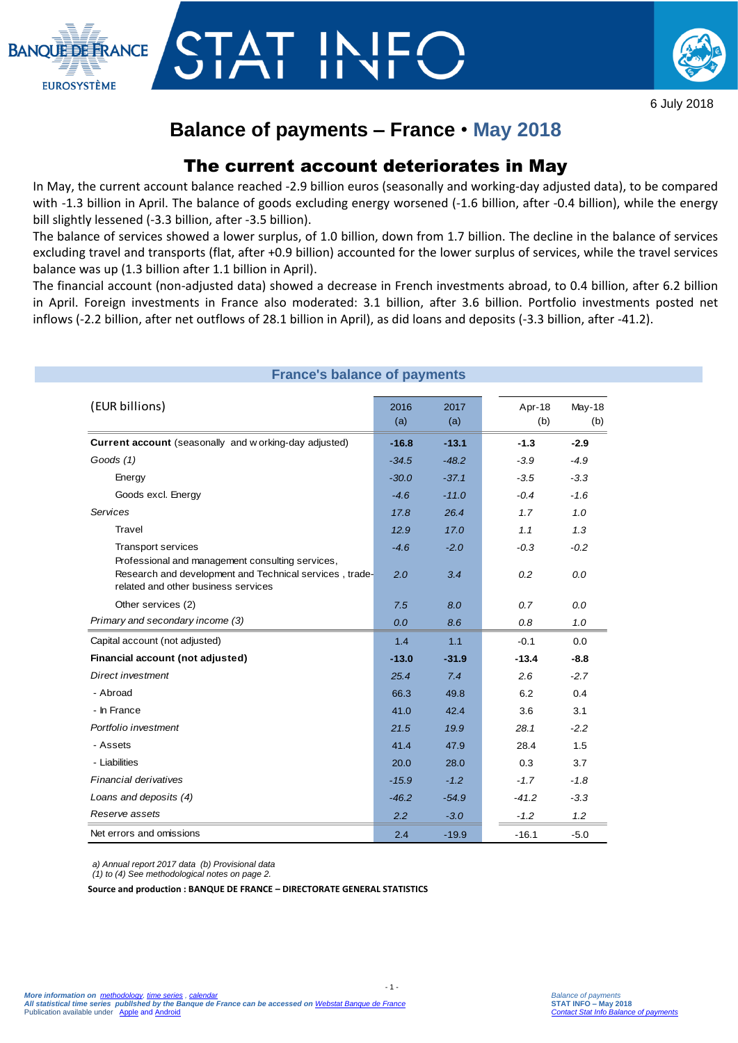



6 July 2018

# **Balance of payments – France** • **May 2018**

## The current account deteriorates in May

In May, the current account balance reached -2.9 billion euros (seasonally and working-day adjusted data), to be compared with -1.3 billion in April. The balance of goods excluding energy worsened (-1.6 billion, after -0.4 billion), while the energy bill slightly lessened (-3.3 billion, after -3.5 billion).

The balance of services showed a lower surplus, of 1.0 billion, down from 1.7 billion. The decline in the balance of services excluding travel and transports (flat, after +0.9 billion) accounted for the lower surplus of services, while the travel services balance was up (1.3 billion after 1.1 billion in April).

The financial account (non-adjusted data) showed a decrease in French investments abroad, to 0.4 billion, after 6.2 billion in April. Foreign investments in France also moderated: 3.1 billion, after 3.6 billion. Portfolio investments posted net inflows (-2.2 billion, after net outflows of 28.1 billion in April), as did loans and deposits (-3.3 billion, after -41.2).

| <b>France's balance of payments</b>                                                                                                      |               |               |               |                      |  |  |
|------------------------------------------------------------------------------------------------------------------------------------------|---------------|---------------|---------------|----------------------|--|--|
| (EUR billions)                                                                                                                           | 2016<br>(a)   | 2017<br>(a)   | Apr-18<br>(b) | <b>May-18</b><br>(b) |  |  |
| Current account (seasonally and working-day adjusted)                                                                                    | $-16.8$       | $-13.1$       | $-1.3$        | $-2.9$               |  |  |
| Goods (1)                                                                                                                                | $-34.5$       | $-48.2$       | $-3.9$        | $-4.9$               |  |  |
| Energy                                                                                                                                   | $-30.0$       | $-37.1$       | $-3.5$        | $-3.3$               |  |  |
| Goods excl. Energy                                                                                                                       | $-4.6$        | $-11.0$       | $-0.4$        | $-1.6$               |  |  |
| Services                                                                                                                                 | 17.8          | 26.4          | 1.7           | 1.0                  |  |  |
| Travel                                                                                                                                   | 12.9          | 17.0          | 1.1           | 1.3                  |  |  |
| <b>Transport services</b><br>Professional and management consulting services,<br>Research and development and Technical services, trade- | $-4.6$<br>2.0 | $-2.0$<br>3.4 | $-0.3$<br>0.2 | $-0.2$<br>0.0        |  |  |
| related and other business services                                                                                                      |               |               |               |                      |  |  |
| Other services (2)                                                                                                                       | 7.5           | 8.0           | 0.7           | 0.0                  |  |  |
| Primary and secondary income (3)                                                                                                         | 0.0           | 8.6           | 0.8           | 1.0                  |  |  |
| Capital account (not adjusted)                                                                                                           | 1.4           | 1.1           | $-0.1$        | 0.0                  |  |  |
| Financial account (not adjusted)                                                                                                         | $-13.0$       | $-31.9$       | $-13.4$       | $-8.8$               |  |  |
| Direct investment                                                                                                                        | 25.4          | 7.4           | 2.6           | $-2.7$               |  |  |
| - Abroad                                                                                                                                 | 66.3          | 49.8          | 6.2           | 0.4                  |  |  |
| - In France                                                                                                                              | 41.0          | 42.4          | 3.6           | 3.1                  |  |  |
| Portfolio investment                                                                                                                     | 21.5          | 19.9          | 28.1          | $-2.2$               |  |  |
| - Assets                                                                                                                                 | 41.4          | 47.9          | 28.4          | 1.5                  |  |  |
| - Liabilities                                                                                                                            | 20.0          | 28.0          | 0.3           | 3.7                  |  |  |
| Financial derivatives                                                                                                                    | $-15.9$       | $-1.2$        | $-1.7$        | $-1.8$               |  |  |
| Loans and deposits (4)                                                                                                                   | $-46.2$       | $-54.9$       | $-41.2$       | $-3.3$               |  |  |
| Reserve assets                                                                                                                           | 2.2           | $-3.0$        | $-1.2$        | 1.2                  |  |  |
| Net errors and omissions                                                                                                                 | 2.4           | $-19.9$       | $-16.1$       | $-5.0$               |  |  |

*a) Annual report 2017 data (b) Provisional data*

*(1) to (4) See methodological notes on page 2.*

**Source and production : BANQUE DE FRANCE – DIRECTORATE GENERAL STATISTICS**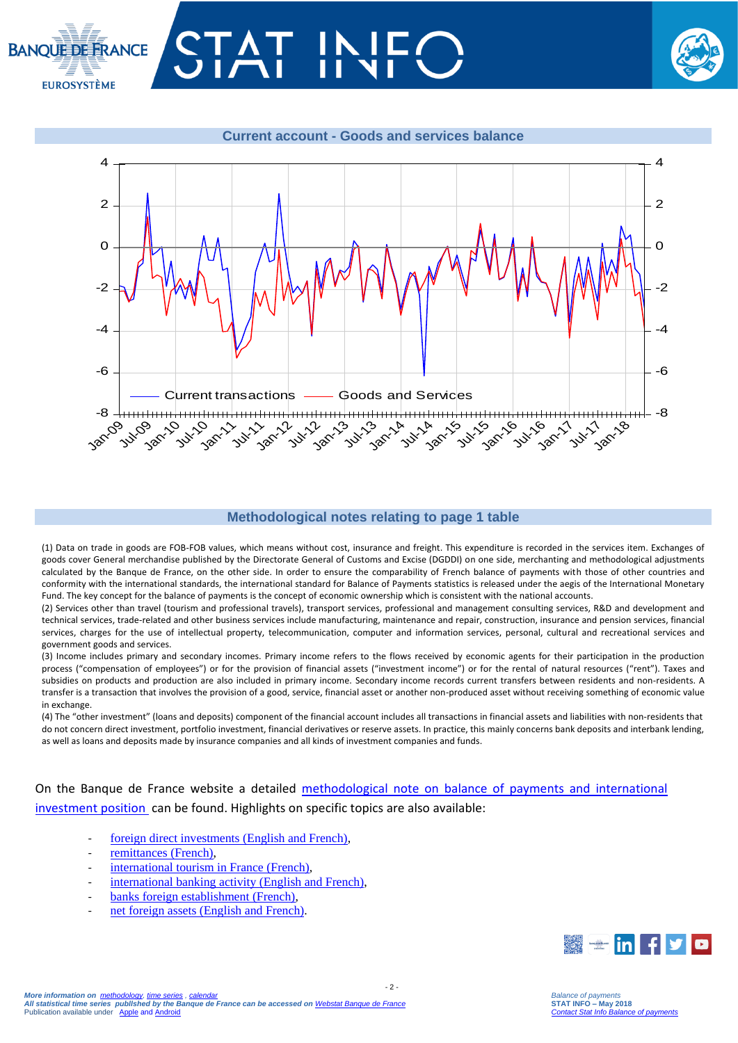





### **Methodological notes relating to page 1 table**

(1) Data on trade in goods are FOB-FOB values, which means without cost, insurance and freight. This expenditure is recorded in the services item. Exchanges of goods cover General merchandise published by the Directorate General of Customs and Excise (DGDDI) on one side, merchanting and methodological adjustments calculated by the Banque de France, on the other side. In order to ensure the comparability of French balance of payments with those of other countries and conformity with the international standards, the international standard for Balance of Payments statistics is released under the aegis of the International Monetary Fund. The key concept for the balance of payments is the concept of economic ownership which is consistent with the national accounts.

(2) Services other than travel (tourism and professional travels), transport services, professional and management consulting services, R&D and development and technical services, trade-related and other business services include manufacturing, maintenance and repair, construction, insurance and pension services, financial services, charges for the use of intellectual property, telecommunication, computer and information services, personal, cultural and recreational services and government goods and services.

(3) Income includes primary and secondary incomes. Primary income refers to the flows received by economic agents for their participation in the production process ("compensation of employees") or for the provision of financial assets ("investment income") or for the rental of natural resources ("rent"). Taxes and subsidies on products and production are also included in primary income. Secondary income records current transfers between residents and non-residents. A transfer is a transaction that involves the provision of a good, service, financial asset or another non-produced asset without receiving something of economic value in exchange.

(4) The "other investment" (loans and deposits) component of the financial account includes all transactions in financial assets and liabilities with non-residents that do not concern direct investment, portfolio investment, financial derivatives or reserve assets. In practice, this mainly concerns bank deposits and interbank lending, as well as loans and deposits made by insurance companies and all kinds of investment companies and funds.

 $-2$ 

On the Banque de France website a detailed [methodological note on balance of payments and international](https://www.banque-france.fr/sites/default/files/media/2016/11/16/bdp-gb-methodologie.pdf)  [investment position](https://www.banque-france.fr/sites/default/files/media/2016/11/16/bdp-gb-methodologie.pdf) can be found. Highlights on specific topics are also available:

- foreign direct investments (English and French).
- [remittances \(French\),](https://www.banque-france.fr/statistiques/balance-des-paiements/la-remuneration-des-salaries-et-les-envois-de-fonds-des-travailleurs)
- [international tourism in France](https://www.banque-france.fr/statistiques/balance-des-paiements/les-services-de-voyages) (French),
- [international banking activity \(English and French\),](https://www.banque-france.fr/en/statistics/balance-payments/international-banking-activity)
- [banks foreign establishment \(French\),](https://www.banque-france.fr/statistiques/balance-des-paiements/les-implantations-bancaires-letranger)
- [net foreign assets \(English and French\).](https://www.banque-france.fr/en/statistics/balance-payments/net-foreign-assets)